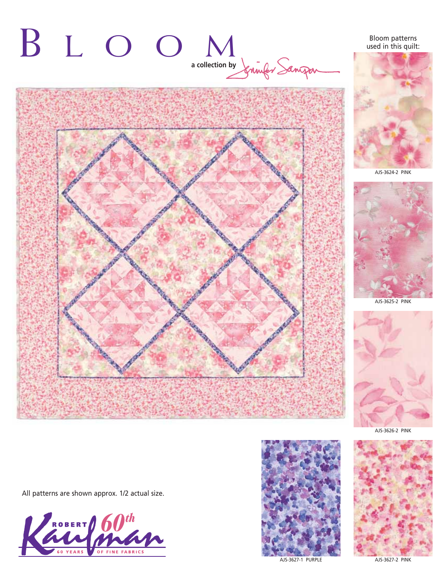

# Bloom patterns used in this quilt:



AJS-3624-2 PINK



AJS-3625-2 PINK



AJS-3626-2 PINK